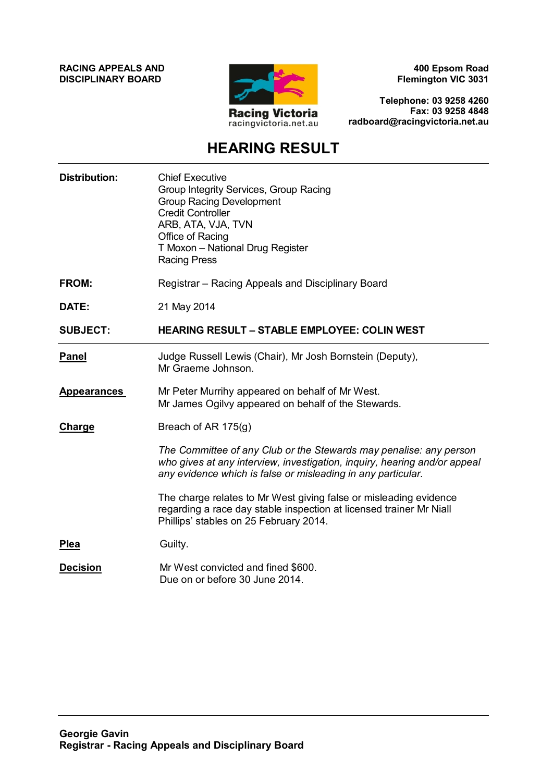**RACING APPEALS AND DISCIPLINARY BOARD**



**400 Epsom Road Flemington VIC 3031**

**Telephone: 03 9258 4260 Fax: 03 9258 4848 radboard@racingvictoria.net.au**

## **HEARING RESULT**

| <b>Distribution:</b> | <b>Chief Executive</b><br>Group Integrity Services, Group Racing<br><b>Group Racing Development</b><br><b>Credit Controller</b><br>ARB, ATA, VJA, TVN<br>Office of Racing<br>T Moxon - National Drug Register<br><b>Racing Press</b> |
|----------------------|--------------------------------------------------------------------------------------------------------------------------------------------------------------------------------------------------------------------------------------|
| <b>FROM:</b>         | Registrar - Racing Appeals and Disciplinary Board                                                                                                                                                                                    |
| DATE:                | 21 May 2014                                                                                                                                                                                                                          |
| <b>SUBJECT:</b>      | <b>HEARING RESULT - STABLE EMPLOYEE: COLIN WEST</b>                                                                                                                                                                                  |
| <b>Panel</b>         | Judge Russell Lewis (Chair), Mr Josh Bornstein (Deputy),<br>Mr Graeme Johnson.                                                                                                                                                       |
| <b>Appearances</b>   | Mr Peter Murrihy appeared on behalf of Mr West.<br>Mr James Ogilvy appeared on behalf of the Stewards.                                                                                                                               |
| <b>Charge</b>        | Breach of AR 175(g)                                                                                                                                                                                                                  |
|                      | The Committee of any Club or the Stewards may penalise: any person<br>who gives at any interview, investigation, inquiry, hearing and/or appeal<br>any evidence which is false or misleading in any particular.                      |
|                      | The charge relates to Mr West giving false or misleading evidence<br>regarding a race day stable inspection at licensed trainer Mr Niall<br>Phillips' stables on 25 February 2014.                                                   |
| <b>Plea</b>          | Guilty.                                                                                                                                                                                                                              |
| <b>Decision</b>      | Mr West convicted and fined \$600.<br>Due on or before 30 June 2014.                                                                                                                                                                 |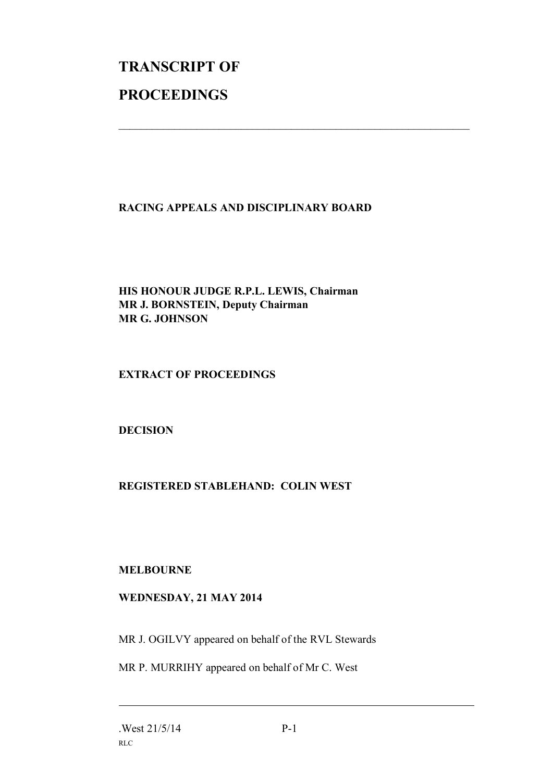# **TRANSCRIPT OF PROCEEDINGS**

#### **RACING APPEALS AND DISCIPLINARY BOARD**

 $\mathcal{L}_\text{max}$  , and the contribution of the contribution of the contribution of the contribution of the contribution of the contribution of the contribution of the contribution of the contribution of the contribution of t

#### **HIS HONOUR JUDGE R.P.L. LEWIS, Chairman MR J. BORNSTEIN, Deputy Chairman MR G. JOHNSON**

#### **EXTRACT OF PROCEEDINGS**

#### **DECISION**

### **REGISTERED STABLEHAND: COLIN WEST**

#### **MELBOURNE**

#### **WEDNESDAY, 21 MAY 2014**

MR J. OGILVY appeared on behalf of the RVL Stewards

MR P. MURRIHY appeared on behalf of Mr C. West